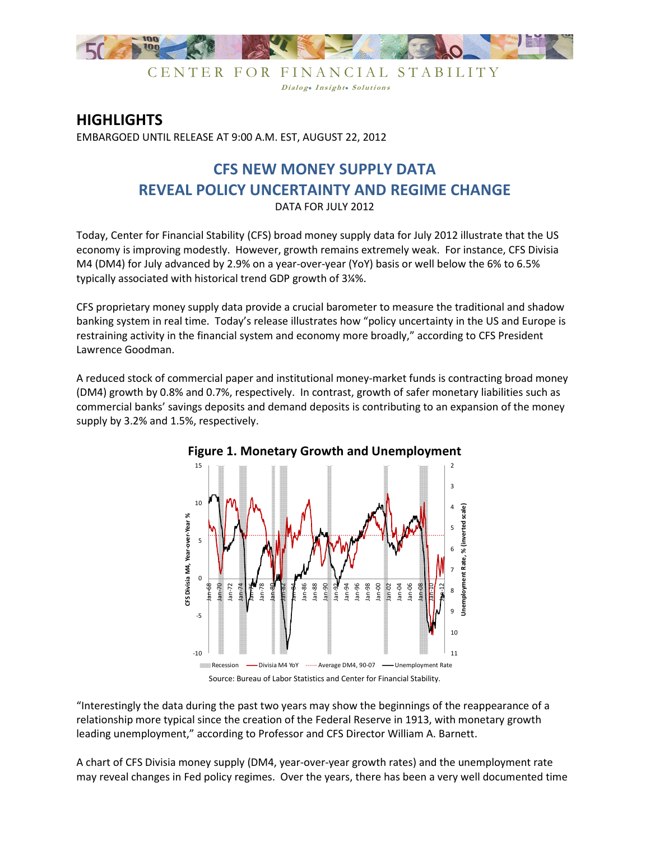

CENTER FOR FINANCIAL STABILITY Dialog. Insight. Solutions

## **HIGHLIGHTS**

EMBARGOED UNTIL RELEASE AT 9:00 A.M. EST, AUGUST 22, 2012

## **CFS NEW MONEY SUPPLY DATA REVEAL POLICY UNCERTAINTY AND REGIME CHANGE**  DATA FOR JULY 2012

Today, Center for Financial Stability (CFS) broad money supply data for July 2012 illustrate that the US economy is improving modestly. However, growth remains extremely weak. For instance, CFS Divisia M4 (DM4) for July advanced by 2.9% on a year-over-year (YoY) basis or well below the 6% to 6.5% typically associated with historical trend GDP growth of 3¼%.

CFS proprietary money supply data provide a crucial barometer to measure the traditional and shadow banking system in real time. Today's release illustrates how "policy uncertainty in the US and Europe is restraining activity in the financial system and economy more broadly," according to CFS President Lawrence Goodman.

A reduced stock of commercial paper and institutional money-market funds is contracting broad money (DM4) growth by 0.8% and 0.7%, respectively. In contrast, growth of safer monetary liabilities such as commercial banks' savings deposits and demand deposits is contributing to an expansion of the money supply by 3.2% and 1.5%, respectively.



## **Figure 1. Monetary Growth and Unemployment**

Source: Bureau of Labor Statistics and Center for Financial Stability.

"Interestingly the data during the past two years may show the beginnings of the reappearance of a relationship more typical since the creation of the Federal Reserve in 1913, with monetary growth leading unemployment," according to Professor and CFS Director William A. Barnett.

A chart of CFS Divisia money supply (DM4, year-over-year growth rates) and the unemployment rate may reveal changes in Fed policy regimes. Over the years, there has been a very well documented time